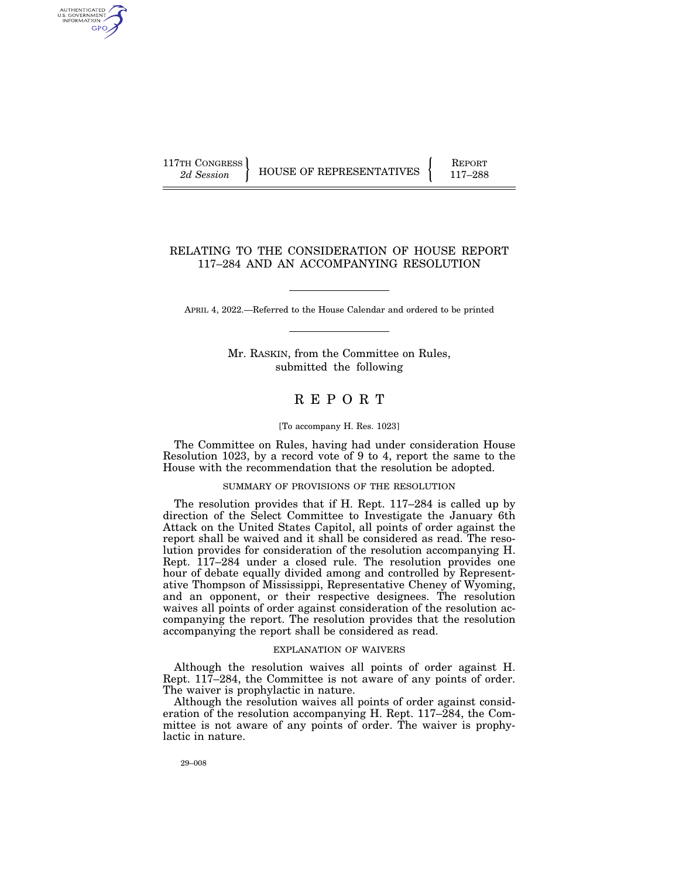AUTHENTICATED U.S. GOVERNMENT GPO

117TH CONGRESS HOUSE OF REPRESENTATIVES FEPORT 117-288

## RELATING TO THE CONSIDERATION OF HOUSE REPORT 117–284 AND AN ACCOMPANYING RESOLUTION

APRIL 4, 2022.—Referred to the House Calendar and ordered to be printed

Mr. RASKIN, from the Committee on Rules, submitted the following

# R E P O R T

#### [To accompany H. Res. 1023]

The Committee on Rules, having had under consideration House Resolution 1023, by a record vote of 9 to 4, report the same to the House with the recommendation that the resolution be adopted.

### SUMMARY OF PROVISIONS OF THE RESOLUTION

The resolution provides that if H. Rept. 117–284 is called up by direction of the Select Committee to Investigate the January 6th Attack on the United States Capitol, all points of order against the report shall be waived and it shall be considered as read. The resolution provides for consideration of the resolution accompanying H. Rept. 117–284 under a closed rule. The resolution provides one hour of debate equally divided among and controlled by Representative Thompson of Mississippi, Representative Cheney of Wyoming, and an opponent, or their respective designees. The resolution waives all points of order against consideration of the resolution accompanying the report. The resolution provides that the resolution accompanying the report shall be considered as read.

#### EXPLANATION OF WAIVERS

Although the resolution waives all points of order against H. Rept. 117–284, the Committee is not aware of any points of order. The waiver is prophylactic in nature.

Although the resolution waives all points of order against consideration of the resolution accompanying H. Rept. 117–284, the Committee is not aware of any points of order. The waiver is prophylactic in nature.